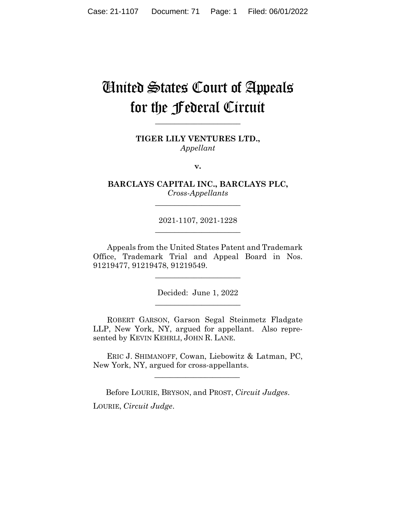# United States Court of Appeals for the Federal Circuit

**TIGER LILY VENTURES LTD.,** *Appellant*

**\_\_\_\_\_\_\_\_\_\_\_\_\_\_\_\_\_\_\_\_\_\_** 

**v.**

**BARCLAYS CAPITAL INC., BARCLAYS PLC,** *Cross-Appellants*

**\_\_\_\_\_\_\_\_\_\_\_\_\_\_\_\_\_\_\_\_\_\_** 

2021-1107, 2021-1228 **\_\_\_\_\_\_\_\_\_\_\_\_\_\_\_\_\_\_\_\_\_\_** 

Appeals from the United States Patent and Trademark Office, Trademark Trial and Appeal Board in Nos. 91219477, 91219478, 91219549.

 $\overline{\phantom{a}}$  , where  $\overline{\phantom{a}}$  , where  $\overline{\phantom{a}}$  , where  $\overline{\phantom{a}}$ 

Decided: June 1, 2022  $\overline{\phantom{a}}$  , where  $\overline{\phantom{a}}$  , where  $\overline{\phantom{a}}$  , where  $\overline{\phantom{a}}$ 

ROBERT GARSON, Garson Segal Steinmetz Fladgate LLP, New York, NY, argued for appellant. Also represented by KEVIN KEHRLI, JOHN R. LANE.

 ERIC J. SHIMANOFF, Cowan, Liebowitz & Latman, PC, New York, NY, argued for cross-appellants.

Before LOURIE, BRYSON, and PROST, *Circuit Judges*. LOURIE, *Circuit Judge*.

 $\mathcal{L}_\text{max}$  and  $\mathcal{L}_\text{max}$  and  $\mathcal{L}_\text{max}$  and  $\mathcal{L}_\text{max}$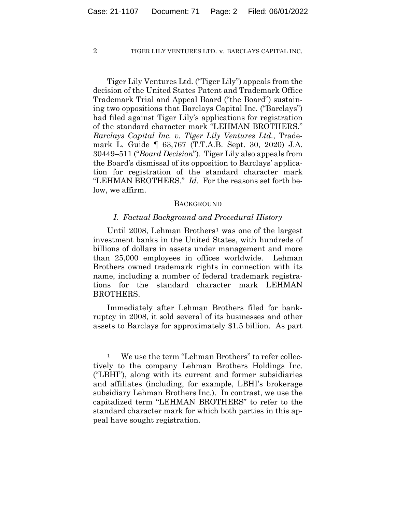Tiger Lily Ventures Ltd. ("Tiger Lily") appeals from the decision of the United States Patent and Trademark Office Trademark Trial and Appeal Board ("the Board") sustaining two oppositions that Barclays Capital Inc. ("Barclays") had filed against Tiger Lily's applications for registration of the standard character mark "LEHMAN BROTHERS." *Barclays Capital Inc. v. Tiger Lily Ventures Ltd.*, Trademark L. Guide ¶ 63,767 (T.T.A.B. Sept. 30, 2020) J.A. 30449–511 ("*Board Decision*"). Tiger Lily also appeals from the Board's dismissal of its opposition to Barclays' application for registration of the standard character mark "LEHMAN BROTHERS." *Id.* For the reasons set forth below, we affirm.

#### **BACKGROUND**

#### *I. Factual Background and Procedural History*

Until 2008, Lehman Brothers<sup>1</sup> was one of the largest investment banks in the United States, with hundreds of billions of dollars in assets under management and more than 25,000 employees in offices worldwide. Lehman Brothers owned trademark rights in connection with its name, including a number of federal trademark registrations for the standard character mark LEHMAN BROTHERS.

Immediately after Lehman Brothers filed for bankruptcy in 2008, it sold several of its businesses and other assets to Barclays for approximately \$1.5 billion. As part

<sup>&</sup>lt;sup>1</sup> We use the term "Lehman Brothers" to refer collectively to the company Lehman Brothers Holdings Inc. ("LBHI"), along with its current and former subsidiaries and affiliates (including, for example, LBHI's brokerage subsidiary Lehman Brothers Inc.). In contrast, we use the capitalized term "LEHMAN BROTHERS" to refer to the standard character mark for which both parties in this appeal have sought registration.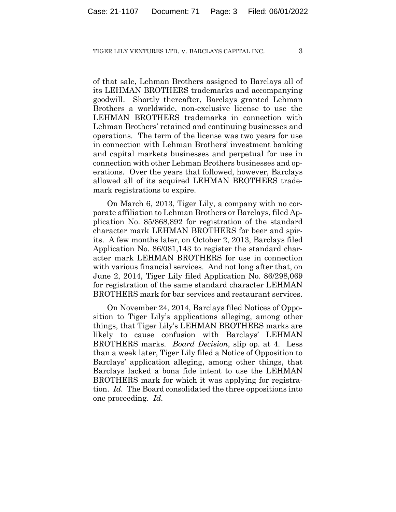of that sale, Lehman Brothers assigned to Barclays all of its LEHMAN BROTHERS trademarks and accompanying goodwill. Shortly thereafter, Barclays granted Lehman Brothers a worldwide, non-exclusive license to use the LEHMAN BROTHERS trademarks in connection with Lehman Brothers' retained and continuing businesses and operations. The term of the license was two years for use in connection with Lehman Brothers' investment banking and capital markets businesses and perpetual for use in connection with other Lehman Brothers businesses and operations. Over the years that followed, however, Barclays allowed all of its acquired LEHMAN BROTHERS trademark registrations to expire.

On March 6, 2013, Tiger Lily, a company with no corporate affiliation to Lehman Brothers or Barclays, filed Application No. 85/868,892 for registration of the standard character mark LEHMAN BROTHERS for beer and spirits. A few months later, on October 2, 2013, Barclays filed Application No. 86/081,143 to register the standard character mark LEHMAN BROTHERS for use in connection with various financial services. And not long after that, on June 2, 2014, Tiger Lily filed Application No. 86/298,069 for registration of the same standard character LEHMAN BROTHERS mark for bar services and restaurant services.

On November 24, 2014, Barclays filed Notices of Opposition to Tiger Lily's applications alleging, among other things, that Tiger Lily's LEHMAN BROTHERS marks are likely to cause confusion with Barclays' LEHMAN BROTHERS marks. *Board Decision*, slip op. at 4. Less than a week later, Tiger Lily filed a Notice of Opposition to Barclays' application alleging, among other things, that Barclays lacked a bona fide intent to use the LEHMAN BROTHERS mark for which it was applying for registration. *Id.* The Board consolidated the three oppositions into one proceeding. *Id.*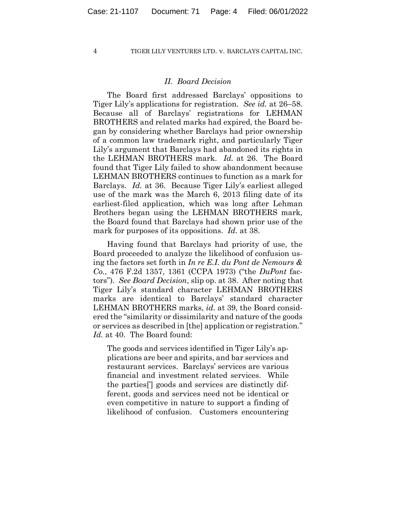#### *II. Board Decision*

The Board first addressed Barclays' oppositions to Tiger Lily's applications for registration. *See id.* at 26–58. Because all of Barclays' registrations for LEHMAN BROTHERS and related marks had expired, the Board began by considering whether Barclays had prior ownership of a common law trademark right, and particularly Tiger Lily's argument that Barclays had abandoned its rights in the LEHMAN BROTHERS mark. *Id.* at 26. The Board found that Tiger Lily failed to show abandonment because LEHMAN BROTHERS continues to function as a mark for Barclays. *Id.* at 36. Because Tiger Lily's earliest alleged use of the mark was the March 6, 2013 filing date of its earliest-filed application, which was long after Lehman Brothers began using the LEHMAN BROTHERS mark, the Board found that Barclays had shown prior use of the mark for purposes of its oppositions. *Id.* at 38.

Having found that Barclays had priority of use, the Board proceeded to analyze the likelihood of confusion using the factors set forth in *In re E.I. du Pont de Nemours & Co.*, 476 F.2d 1357, 1361 (CCPA 1973) ("the *DuPont* factors"). *See Board Decision*, slip op. at 38. After noting that Tiger Lily's standard character LEHMAN BROTHERS marks are identical to Barclays' standard character LEHMAN BROTHERS marks, *id.* at 39, the Board considered the "similarity or dissimilarity and nature of the goods or services as described in [the] application or registration." *Id.* at 40. The Board found:

The goods and services identified in Tiger Lily's applications are beer and spirits, and bar services and restaurant services. Barclays' services are various financial and investment related services. While the parties['] goods and services are distinctly different, goods and services need not be identical or even competitive in nature to support a finding of likelihood of confusion. Customers encountering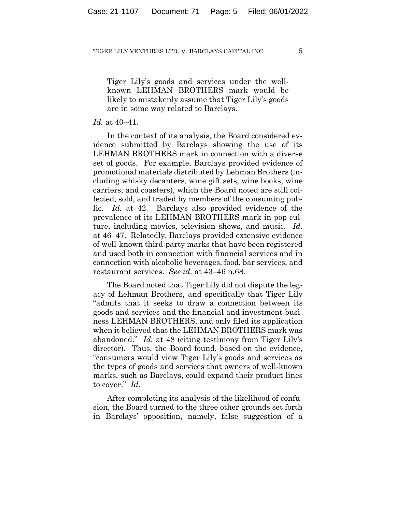Tiger Lily's goods and services under the wellknown LEHMAN BROTHERS mark would be likely to mistakenly assume that Tiger Lily's goods are in some way related to Barclays.

#### *Id.* at 40–41.

In the context of its analysis, the Board considered evidence submitted by Barclays showing the use of its LEHMAN BROTHERS mark in connection with a diverse set of goods. For example, Barclays provided evidence of promotional materials distributed by Lehman Brothers (including whisky decanters, wine gift sets, wine books, wine carriers, and coasters), which the Board noted are still collected, sold, and traded by members of the consuming public. *Id.* at 42. Barclays also provided evidence of the prevalence of its LEHMAN BROTHERS mark in pop culture, including movies, television shows, and music. *Id.*  at 46–47. Relatedly, Barclays provided extensive evidence of well-known third-party marks that have been registered and used both in connection with financial services and in connection with alcoholic beverages, food, bar services, and restaurant services. *See id.* at 43–46 n.68.

The Board noted that Tiger Lily did not dispute the legacy of Lehman Brothers, and specifically that Tiger Lily "admits that it seeks to draw a connection between its goods and services and the financial and investment business LEHMAN BROTHERS, and only filed its application when it believed that the LEHMAN BROTHERS mark was abandoned." *Id.* at 48 (citing testimony from Tiger Lily's director). Thus, the Board found, based on the evidence, "consumers would view Tiger Lily's goods and services as the types of goods and services that owners of well-known marks, such as Barclays, could expand their product lines to cover." *Id.*

After completing its analysis of the likelihood of confusion, the Board turned to the three other grounds set forth in Barclays' opposition, namely, false suggestion of a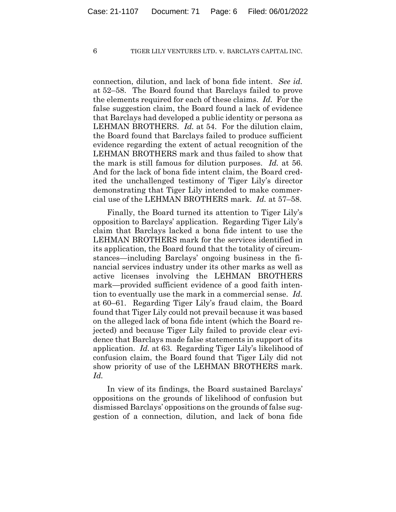connection, dilution, and lack of bona fide intent. *See id.* at 52–58. The Board found that Barclays failed to prove the elements required for each of these claims. *Id.* For the false suggestion claim, the Board found a lack of evidence that Barclays had developed a public identity or persona as LEHMAN BROTHERS. *Id.* at 54. For the dilution claim, the Board found that Barclays failed to produce sufficient evidence regarding the extent of actual recognition of the LEHMAN BROTHERS mark and thus failed to show that the mark is still famous for dilution purposes. *Id.* at 56. And for the lack of bona fide intent claim, the Board credited the unchallenged testimony of Tiger Lily's director demonstrating that Tiger Lily intended to make commercial use of the LEHMAN BROTHERS mark. *Id.* at 57–58.

Finally, the Board turned its attention to Tiger Lily's opposition to Barclays' application. Regarding Tiger Lily's claim that Barclays lacked a bona fide intent to use the LEHMAN BROTHERS mark for the services identified in its application, the Board found that the totality of circumstances—including Barclays' ongoing business in the financial services industry under its other marks as well as active licenses involving the LEHMAN BROTHERS mark—provided sufficient evidence of a good faith intention to eventually use the mark in a commercial sense. *Id.* at 60–61. Regarding Tiger Lily's fraud claim, the Board found that Tiger Lily could not prevail because it was based on the alleged lack of bona fide intent (which the Board rejected) and because Tiger Lily failed to provide clear evidence that Barclays made false statements in support of its application. *Id.* at 63. Regarding Tiger Lily's likelihood of confusion claim, the Board found that Tiger Lily did not show priority of use of the LEHMAN BROTHERS mark. *Id.*

In view of its findings, the Board sustained Barclays' oppositions on the grounds of likelihood of confusion but dismissed Barclays' oppositions on the grounds of false suggestion of a connection, dilution, and lack of bona fide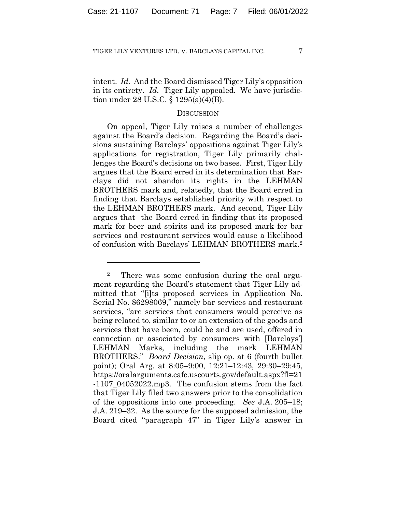intent. *Id.* And the Board dismissed Tiger Lily's opposition in its entirety. *Id.* Tiger Lily appealed. We have jurisdiction under 28 U.S.C. § 1295(a)(4)(B).

#### **DISCUSSION**

On appeal, Tiger Lily raises a number of challenges against the Board's decision. Regarding the Board's decisions sustaining Barclays' oppositions against Tiger Lily's applications for registration, Tiger Lily primarily challenges the Board's decisions on two bases. First, Tiger Lily argues that the Board erred in its determination that Barclays did not abandon its rights in the LEHMAN BROTHERS mark and, relatedly, that the Board erred in finding that Barclays established priority with respect to the LEHMAN BROTHERS mark. And second, Tiger Lily argues that the Board erred in finding that its proposed mark for beer and spirits and its proposed mark for bar services and restaurant services would cause a likelihood of confusion with Barclays' LEHMAN BROTHERS mark.2

<sup>2</sup> There was some confusion during the oral argument regarding the Board's statement that Tiger Lily admitted that "[i]ts proposed services in Application No. Serial No. 86298069," namely bar services and restaurant services, "are services that consumers would perceive as being related to, similar to or an extension of the goods and services that have been, could be and are used, offered in connection or associated by consumers with [Barclays'] LEHMAN Marks, including the mark LEHMAN BROTHERS." *Board Decision*, slip op. at 6 (fourth bullet point); Oral Arg. at 8:05–9:00, 12:21–12:43, 29:30–29:45, https://oralarguments.cafc.uscourts.gov/default.aspx?fl=21 -1107\_04052022.mp3. The confusion stems from the fact that Tiger Lily filed two answers prior to the consolidation of the oppositions into one proceeding. *See* J.A. 205–18; J.A. 219–32. As the source for the supposed admission, the Board cited "paragraph 47" in Tiger Lily's answer in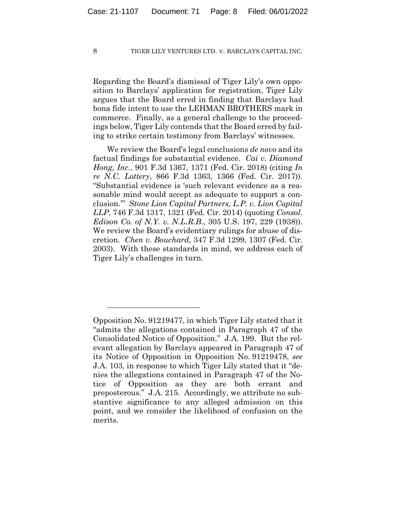Regarding the Board's dismissal of Tiger Lily's own opposition to Barclays' application for registration, Tiger Lily argues that the Board erred in finding that Barclays had bona fide intent to use the LEHMAN BROTHERS mark in commerce. Finally, as a general challenge to the proceedings below, Tiger Lily contends that the Board erred by failing to strike certain testimony from Barclays' witnesses.

We review the Board's legal conclusions *de novo* and its factual findings for substantial evidence. *Cai v. Diamond Hong, Inc.*, 901 F.3d 1367, 1371 (Fed. Cir. 2018) (citing *In re N.C. Lottery*, 866 F.3d 1363, 1366 (Fed. Cir. 2017)). "Substantial evidence is 'such relevant evidence as a reasonable mind would accept as adequate to support a conclusion.'" *Stone Lion Capital Partners, L.P. v. Lion Capital LLP*, 746 F.3d 1317, 1321 (Fed. Cir. 2014) (quoting *Consol. Edison Co. of N.Y. v. N.L.R.B.*, 305 U.S. 197, 229 (1938)). We review the Board's evidentiary rulings for abuse of discretion. *Chen v. Bouchard*, 347 F.3d 1299, 1307 (Fed. Cir. 2003). With these standards in mind, we address each of Tiger Lily's challenges in turn.

Opposition No. 91219477, in which Tiger Lily stated that it "admits the allegations contained in Paragraph 47 of the Consolidated Notice of Opposition." J.A. 199. But the relevant allegation by Barclays appeared in Paragraph 47 of its Notice of Opposition in Opposition No. 91219478, *see*  J.A. 103, in response to which Tiger Lily stated that it "denies the allegations contained in Paragraph 47 of the Notice of Opposition as they are both errant and preposterous." J.A. 215. Accordingly, we attribute no substantive significance to any alleged admission on this point, and we consider the likelihood of confusion on the merits.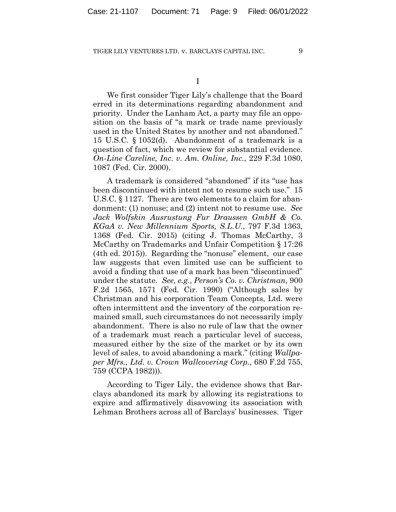We first consider Tiger Lily's challenge that the Board erred in its determinations regarding abandonment and priority. Under the Lanham Act, a party may file an opposition on the basis of "a mark or trade name previously used in the United States by another and not abandoned." 15 U.S.C. § 1052(d). Abandonment of a trademark is a question of fact, which we review for substantial evidence. *On-Line Careline, Inc. v. Am. Online, Inc.*, 229 F.3d 1080, 1087 (Fed. Cir. 2000).

A trademark is considered "abandoned" if its "use has been discontinued with intent not to resume such use." 15 U.S.C. § 1127. There are two elements to a claim for abandonment: (1) nonuse; and (2) intent not to resume use. *See Jack Wolfskin Ausrustung Fur Draussen GmbH & Co. KGaA v. New Millennium Sports, S.L.U.*, 797 F.3d 1363, 1368 (Fed. Cir. 2015) (citing J. Thomas McCarthy, 3 McCarthy on Trademarks and Unfair Competition § 17:26 (4th ed. 2015)). Regarding the "nonuse" element, our case law suggests that even limited use can be sufficient to avoid a finding that use of a mark has been "discontinued" under the statute. *See, e.g.*, *Person's Co. v. Christman*, 900 F.2d 1565, 1571 (Fed. Cir. 1990) ("Although sales by Christman and his corporation Team Concepts, Ltd. were often intermittent and the inventory of the corporation remained small, such circumstances do not necessarily imply abandonment. There is also no rule of law that the owner of a trademark must reach a particular level of success, measured either by the size of the market or by its own level of sales, to avoid abandoning a mark." (citing *Wallpaper Mfrs., Ltd. v. Crown Wallcovering Corp.*, 680 F.2d 755, 759 (CCPA 1982))).

According to Tiger Lily, the evidence shows that Barclays abandoned its mark by allowing its registrations to expire and affirmatively disavowing its association with Lehman Brothers across all of Barclays' businesses. Tiger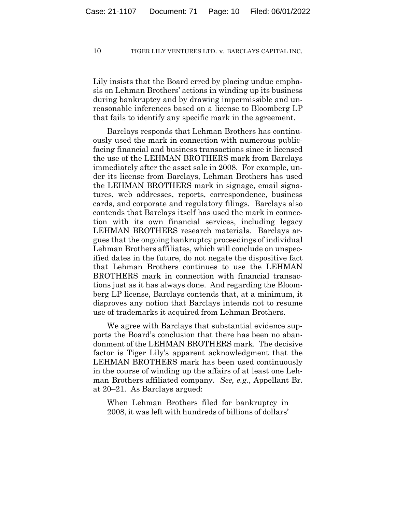Lily insists that the Board erred by placing undue emphasis on Lehman Brothers' actions in winding up its business during bankruptcy and by drawing impermissible and unreasonable inferences based on a license to Bloomberg LP that fails to identify any specific mark in the agreement.

Barclays responds that Lehman Brothers has continuously used the mark in connection with numerous publicfacing financial and business transactions since it licensed the use of the LEHMAN BROTHERS mark from Barclays immediately after the asset sale in 2008. For example, under its license from Barclays, Lehman Brothers has used the LEHMAN BROTHERS mark in signage, email signatures, web addresses, reports, correspondence, business cards, and corporate and regulatory filings. Barclays also contends that Barclays itself has used the mark in connection with its own financial services, including legacy LEHMAN BROTHERS research materials. Barclays argues that the ongoing bankruptcy proceedings of individual Lehman Brothers affiliates, which will conclude on unspecified dates in the future, do not negate the dispositive fact that Lehman Brothers continues to use the LEHMAN BROTHERS mark in connection with financial transactions just as it has always done. And regarding the Bloomberg LP license, Barclays contends that, at a minimum, it disproves any notion that Barclays intends not to resume use of trademarks it acquired from Lehman Brothers.

We agree with Barclays that substantial evidence supports the Board's conclusion that there has been no abandonment of the LEHMAN BROTHERS mark. The decisive factor is Tiger Lily's apparent acknowledgment that the LEHMAN BROTHERS mark has been used continuously in the course of winding up the affairs of at least one Lehman Brothers affiliated company. *See, e.g.*, Appellant Br. at 20–21. As Barclays argued:

When Lehman Brothers filed for bankruptcy in 2008, it was left with hundreds of billions of dollars'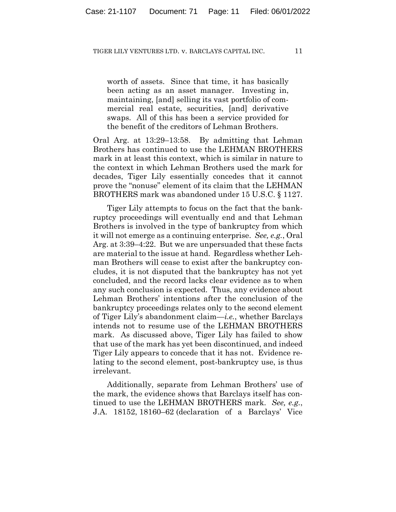worth of assets. Since that time, it has basically been acting as an asset manager. Investing in, maintaining, [and] selling its vast portfolio of commercial real estate, securities, [and] derivative swaps. All of this has been a service provided for the benefit of the creditors of Lehman Brothers.

Oral Arg. at 13:29–13:58. By admitting that Lehman Brothers has continued to use the LEHMAN BROTHERS mark in at least this context, which is similar in nature to the context in which Lehman Brothers used the mark for decades, Tiger Lily essentially concedes that it cannot prove the "nonuse" element of its claim that the LEHMAN BROTHERS mark was abandoned under 15 U.S.C. § 1127.

Tiger Lily attempts to focus on the fact that the bankruptcy proceedings will eventually end and that Lehman Brothers is involved in the type of bankruptcy from which it will not emerge as a continuing enterprise. *See, e.g.*, Oral Arg. at 3:39–4:22. But we are unpersuaded that these facts are material to the issue at hand. Regardless whether Lehman Brothers will cease to exist after the bankruptcy concludes, it is not disputed that the bankruptcy has not yet concluded, and the record lacks clear evidence as to when any such conclusion is expected. Thus, any evidence about Lehman Brothers' intentions after the conclusion of the bankruptcy proceedings relates only to the second element of Tiger Lily's abandonment claim—*i.e.*, whether Barclays intends not to resume use of the LEHMAN BROTHERS mark. As discussed above, Tiger Lily has failed to show that use of the mark has yet been discontinued, and indeed Tiger Lily appears to concede that it has not. Evidence relating to the second element, post-bankruptcy use, is thus irrelevant.

Additionally, separate from Lehman Brothers' use of the mark, the evidence shows that Barclays itself has continued to use the LEHMAN BROTHERS mark. *See, e.g.*, J.A. 18152, 18160–62 (declaration of a Barclays' Vice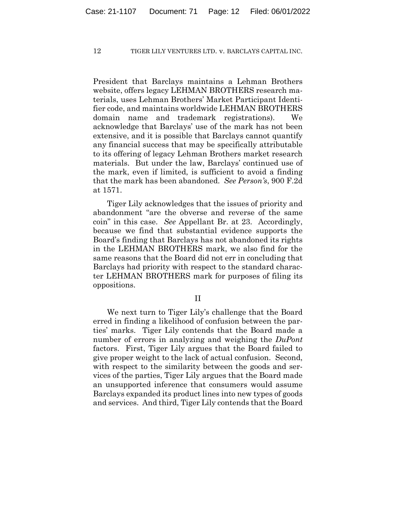President that Barclays maintains a Lehman Brothers website, offers legacy LEHMAN BROTHERS research materials, uses Lehman Brothers' Market Participant Identifier code, and maintains worldwide LEHMAN BROTHERS domain name and trademark registrations). We acknowledge that Barclays' use of the mark has not been extensive, and it is possible that Barclays cannot quantify any financial success that may be specifically attributable to its offering of legacy Lehman Brothers market research materials. But under the law, Barclays' continued use of the mark, even if limited, is sufficient to avoid a finding that the mark has been abandoned. *See Person's*, 900 F.2d at 1571.

Tiger Lily acknowledges that the issues of priority and abandonment "are the obverse and reverse of the same coin" in this case. *See* Appellant Br. at 23. Accordingly, because we find that substantial evidence supports the Board's finding that Barclays has not abandoned its rights in the LEHMAN BROTHERS mark, we also find for the same reasons that the Board did not err in concluding that Barclays had priority with respect to the standard character LEHMAN BROTHERS mark for purposes of filing its oppositions.

II

We next turn to Tiger Lily's challenge that the Board erred in finding a likelihood of confusion between the parties' marks. Tiger Lily contends that the Board made a number of errors in analyzing and weighing the *DuPont*  factors. First, Tiger Lily argues that the Board failed to give proper weight to the lack of actual confusion. Second, with respect to the similarity between the goods and services of the parties, Tiger Lily argues that the Board made an unsupported inference that consumers would assume Barclays expanded its product lines into new types of goods and services. And third, Tiger Lily contends that the Board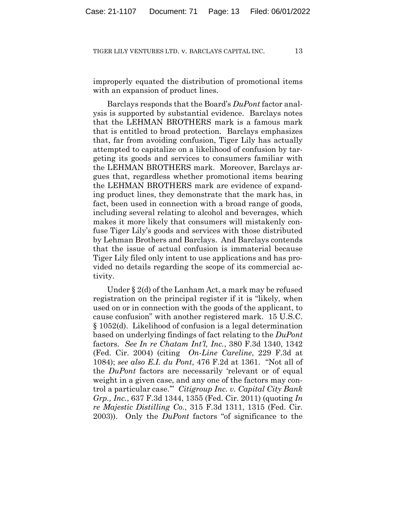improperly equated the distribution of promotional items with an expansion of product lines.

Barclays responds that the Board's *DuPont* factor analysis is supported by substantial evidence. Barclays notes that the LEHMAN BROTHERS mark is a famous mark that is entitled to broad protection. Barclays emphasizes that, far from avoiding confusion, Tiger Lily has actually attempted to capitalize on a likelihood of confusion by targeting its goods and services to consumers familiar with the LEHMAN BROTHERS mark. Moreover, Barclays argues that, regardless whether promotional items bearing the LEHMAN BROTHERS mark are evidence of expanding product lines, they demonstrate that the mark has, in fact, been used in connection with a broad range of goods, including several relating to alcohol and beverages, which makes it more likely that consumers will mistakenly confuse Tiger Lily's goods and services with those distributed by Lehman Brothers and Barclays. And Barclays contends that the issue of actual confusion is immaterial because Tiger Lily filed only intent to use applications and has provided no details regarding the scope of its commercial activity.

Under § 2(d) of the Lanham Act, a mark may be refused registration on the principal register if it is "likely, when used on or in connection with the goods of the applicant, to cause confusion" with another registered mark. 15 U.S.C. § 1052(d). Likelihood of confusion is a legal determination based on underlying findings of fact relating to the *DuPont*  factors. *See In re Chatam Int'l, Inc.*, 380 F.3d 1340, 1342 (Fed. Cir. 2004) (citing *On-Line Careline*, 229 F.3d at 1084); *see also E.I. du Pont*, 476 F.2d at 1361. "Not all of the *DuPont* factors are necessarily 'relevant or of equal weight in a given case, and any one of the factors may control a particular case.'" *Citigroup Inc. v. Capital City Bank Grp., Inc.*, 637 F.3d 1344, 1355 (Fed. Cir. 2011) (quoting *In re Majestic Distilling Co.*, 315 F.3d 1311, 1315 (Fed. Cir. 2003)).Only the *DuPont* factors "of significance to the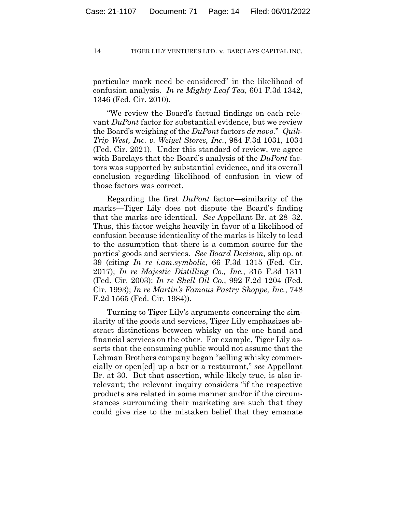particular mark need be considered" in the likelihood of confusion analysis. *In re Mighty Leaf Tea*, 601 F.3d 1342, 1346 (Fed. Cir. 2010).

"We review the Board's factual findings on each relevant *DuPont* factor for substantial evidence, but we review the Board's weighing of the *DuPont* factors *de novo.*" *Quik-Trip West, Inc. v. Weigel Stores, Inc.*, 984 F.3d 1031, 1034 (Fed. Cir. 2021). Under this standard of review, we agree with Barclays that the Board's analysis of the *DuPont* factors was supported by substantial evidence, and its overall conclusion regarding likelihood of confusion in view of those factors was correct.

Regarding the first *DuPont* factor—similarity of the marks—Tiger Lily does not dispute the Board's finding that the marks are identical. *See* Appellant Br. at 28–32. Thus, this factor weighs heavily in favor of a likelihood of confusion because identicality of the marks is likely to lead to the assumption that there is a common source for the parties' goods and services. *See Board Decision*, slip op. at 39 (citing *In re i.am.symbolic*, 66 F.3d 1315 (Fed. Cir. 2017); *In re Majestic Distilling Co., Inc.*, 315 F.3d 1311 (Fed. Cir. 2003); *In re Shell Oil Co.*, 992 F.2d 1204 (Fed. Cir. 1993); *In re Martin's Famous Pastry Shoppe, Inc.*, 748 F.2d 1565 (Fed. Cir. 1984)).

Turning to Tiger Lily's arguments concerning the similarity of the goods and services, Tiger Lily emphasizes abstract distinctions between whisky on the one hand and financial services on the other. For example, Tiger Lily asserts that the consuming public would not assume that the Lehman Brothers company began "selling whisky commercially or open[ed] up a bar or a restaurant," *see* Appellant Br. at 30. But that assertion, while likely true, is also irrelevant; the relevant inquiry considers "if the respective products are related in some manner and/or if the circumstances surrounding their marketing are such that they could give rise to the mistaken belief that they emanate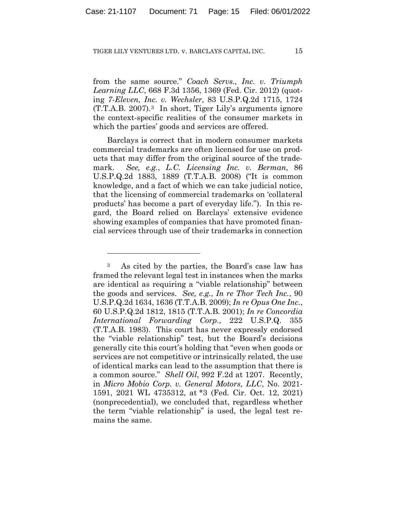from the same source." *Coach Servs., Inc. v. Triumph Learning LLC*, 668 F.3d 1356, 1369 (Fed. Cir. 2012) (quoting *7-Eleven, Inc. v. Wechsler*, 83 U.S.P.Q.2d 1715, 1724 (T.T.A.B. 2007).3 In short, Tiger Lily's arguments ignore the context-specific realities of the consumer markets in which the parties' goods and services are offered.

Barclays is correct that in modern consumer markets commercial trademarks are often licensed for use on products that may differ from the original source of the trademark. *See, e.g.*, *L.C. Licensing Inc. v. Berman*, 86 U.S.P.Q.2d 1883, 1889 (T.T.A.B. 2008) ("It is common knowledge, and a fact of which we can take judicial notice, that the licensing of commercial trademarks on 'collateral products' has become a part of everyday life."). In this regard, the Board relied on Barclays' extensive evidence showing examples of companies that have promoted financial services through use of their trademarks in connection

<sup>3</sup> As cited by the parties, the Board's case law has framed the relevant legal test in instances when the marks are identical as requiring a "viable relationship" between the goods and services. *See, e.g.*, *In re Thor Tech Inc.*, 90 U.S.P.Q.2d 1634, 1636 (T.T.A.B. 2009); *In re Opus One Inc.*, 60 U.S.P.Q.2d 1812, 1815 (T.T.A.B. 2001); *In re Concordia International Forwarding Corp.*, 222 U.S.P.Q. 355 (T.T.A.B. 1983). This court has never expressly endorsed the "viable relationship" test, but the Board's decisions generally cite this court's holding that "even when goods or services are not competitive or intrinsically related, the use of identical marks can lead to the assumption that there is a common source." *Shell Oil*, 992 F.2d at 1207. Recently, in *Micro Mobio Corp. v. General Motors, LLC*, No. 2021- 1591, 2021 WL 4735312, at \*3 (Fed. Cir. Oct. 12, 2021) (nonprecedential), we concluded that, regardless whether the term "viable relationship" is used, the legal test remains the same.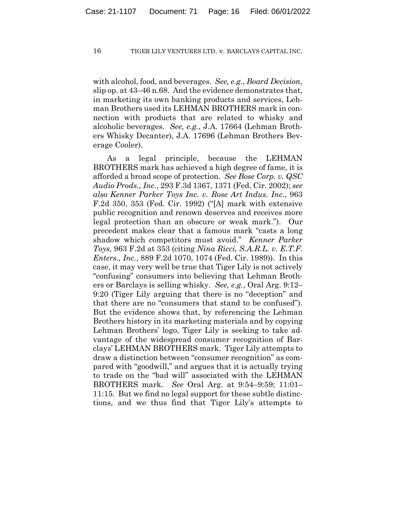with alcohol, food, and beverages. *See, e.g.*, *Board Decision*, slip op. at 43–46 n.68. And the evidence demonstrates that, in marketing its own banking products and services, Lehman Brothers used its LEHMAN BROTHERS mark in connection with products that are related to whisky and alcoholic beverages. *See, e.g.*, J.A. 17664 (Lehman Brothers Whisky Decanter), J.A. 17696 (Lehman Brothers Beverage Cooler).

As a legal principle, because the LEHMAN BROTHERS mark has achieved a high degree of fame, it is afforded a broad scope of protection. *See Bose Corp. v. QSC Audio Prods., Inc.*, 293 F.3d 1367, 1371 (Fed. Cir. 2002); *see also Kenner Parker Toys Inc. v. Rose Art Indus. Inc.*, 963 F.2d 350, 353 (Fed. Cir. 1992) ("[A] mark with extensive public recognition and renown deserves and receives more legal protection than an obscure or weak mark."). Our precedent makes clear that a famous mark "casts a long shadow which competitors must avoid." *Kenner Parker Toys*, 963 F.2d at 353 (citing *Nina Ricci, S.A.R.L. v. E.T.F. Enters., Inc.*, 889 F.2d 1070, 1074 (Fed. Cir. 1989)). In this case, it may very well be true that Tiger Lily is not actively "confusing" consumers into believing that Lehman Brothers or Barclays is selling whisky. *See, e.g.*, Oral Arg. 9:12– 9:20 (Tiger Lily arguing that there is no "deception" and that there are no "consumers that stand to be confused"). But the evidence shows that, by referencing the Lehman Brothers history in its marketing materials and by copying Lehman Brothers' logo, Tiger Lily is seeking to take advantage of the widespread consumer recognition of Barclays' LEHMAN BROTHERS mark. Tiger Lily attempts to draw a distinction between "consumer recognition" as compared with "goodwill," and argues that it is actually trying to trade on the "bad will" associated with the LEHMAN BROTHERS mark. *See* Oral Arg. at 9:54–9:59; 11:01– 11:15. But we find no legal support for these subtle distinctions, and we thus find that Tiger Lily's attempts to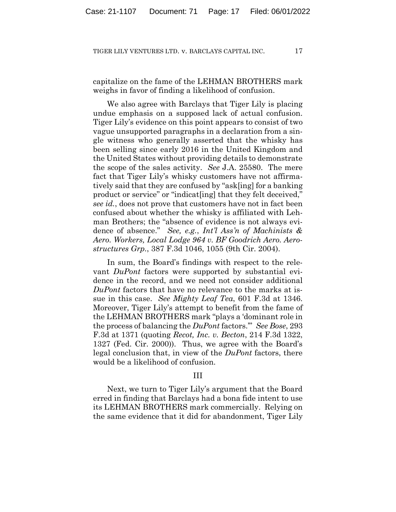capitalize on the fame of the LEHMAN BROTHERS mark weighs in favor of finding a likelihood of confusion.

We also agree with Barclays that Tiger Lily is placing undue emphasis on a supposed lack of actual confusion. Tiger Lily's evidence on this point appears to consist of two vague unsupported paragraphs in a declaration from a single witness who generally asserted that the whisky has been selling since early 2016 in the United Kingdom and the United States without providing details to demonstrate the scope of the sales activity. *See* J.A. 25580. The mere fact that Tiger Lily's whisky customers have not affirmatively said that they are confused by "ask[ing] for a banking product or service" or "indicat[ing] that they felt deceived," *see id.*, does not prove that customers have not in fact been confused about whether the whisky is affiliated with Lehman Brothers; the "absence of evidence is not always evidence of absence." *See, e.g.*, *Int'l Ass'n of Machinists & Aero. Workers, Local Lodge 964 v. BF Goodrich Aero. Aerostructures Grp.*, 387 F.3d 1046, 1055 (9th Cir. 2004).

In sum, the Board's findings with respect to the relevant *DuPont* factors were supported by substantial evidence in the record, and we need not consider additional *DuPont* factors that have no relevance to the marks at issue in this case. *See Mighty Leaf Tea*, 601 F.3d at 1346. Moreover, Tiger Lily's attempt to benefit from the fame of the LEHMAN BROTHERS mark "plays a 'dominant role in the process of balancing the *DuPont* factors.'" *See Bose*, 293 F.3d at 1371 (quoting *Recot, Inc. v. Becton*, 214 F.3d 1322, 1327 (Fed. Cir. 2000)). Thus, we agree with the Board's legal conclusion that, in view of the *DuPont* factors, there would be a likelihood of confusion.

#### III

Next, we turn to Tiger Lily's argument that the Board erred in finding that Barclays had a bona fide intent to use its LEHMAN BROTHERS mark commercially. Relying on the same evidence that it did for abandonment, Tiger Lily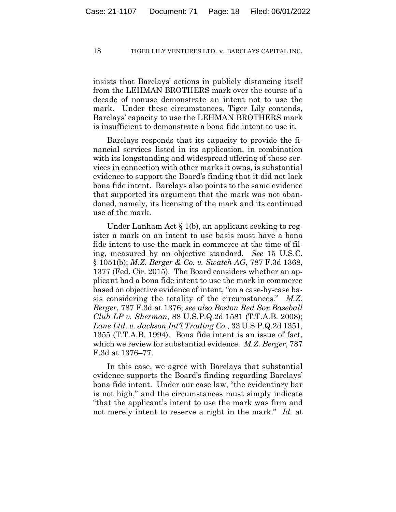insists that Barclays' actions in publicly distancing itself from the LEHMAN BROTHERS mark over the course of a decade of nonuse demonstrate an intent not to use the mark. Under these circumstances, Tiger Lily contends, Barclays' capacity to use the LEHMAN BROTHERS mark is insufficient to demonstrate a bona fide intent to use it.

Barclays responds that its capacity to provide the financial services listed in its application, in combination with its longstanding and widespread offering of those services in connection with other marks it owns, is substantial evidence to support the Board's finding that it did not lack bona fide intent. Barclays also points to the same evidence that supported its argument that the mark was not abandoned, namely, its licensing of the mark and its continued use of the mark.

Under Lanham Act  $\S 1(b)$ , an applicant seeking to register a mark on an intent to use basis must have a bona fide intent to use the mark in commerce at the time of filing, measured by an objective standard. *See* 15 U.S.C. § 1051(b); *M.Z. Berger & Co. v. Swatch AG*, 787 F.3d 1368, 1377 (Fed. Cir. 2015). The Board considers whether an applicant had a bona fide intent to use the mark in commerce based on objective evidence of intent, "on a case-by-case basis considering the totality of the circumstances." *M.Z. Berger*, 787 F.3d at 1376; *see also Boston Red Sox Baseball Club LP v. Sherman*, 88 U.S.P.Q.2d 1581 (T.T.A.B. 2008); *Lane Ltd. v. Jackson Int'l Trading Co.*, 33 U.S.P.Q.2d 1351, 1355 (T.T.A.B. 1994). Bona fide intent is an issue of fact, which we review for substantial evidence. *M.Z. Berger*, 787 F.3d at 1376–77.

In this case, we agree with Barclays that substantial evidence supports the Board's finding regarding Barclays' bona fide intent. Under our case law, "the evidentiary bar is not high," and the circumstances must simply indicate "that the applicant's intent to use the mark was firm and not merely intent to reserve a right in the mark." *Id.* at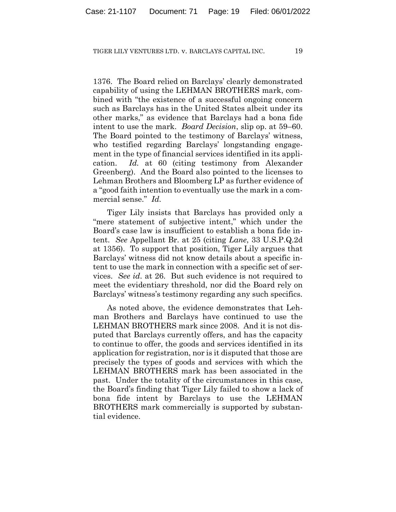1376. The Board relied on Barclays' clearly demonstrated capability of using the LEHMAN BROTHERS mark, combined with "the existence of a successful ongoing concern such as Barclays has in the United States albeit under its other marks," as evidence that Barclays had a bona fide intent to use the mark. *Board Decision*, slip op. at 59–60. The Board pointed to the testimony of Barclays' witness, who testified regarding Barclays' longstanding engagement in the type of financial services identified in its application. *Id.* at 60 (citing testimony from Alexander Greenberg). And the Board also pointed to the licenses to Lehman Brothers and Bloomberg LP as further evidence of a "good faith intention to eventually use the mark in a commercial sense." *Id.*

Tiger Lily insists that Barclays has provided only a "mere statement of subjective intent," which under the Board's case law is insufficient to establish a bona fide intent. *See* Appellant Br. at 25 (citing *Lane*, 33 U.S.P.Q.2d at 1356). To support that position, Tiger Lily argues that Barclays' witness did not know details about a specific intent to use the mark in connection with a specific set of services. *See id*. at 26. But such evidence is not required to meet the evidentiary threshold, nor did the Board rely on Barclays' witness's testimony regarding any such specifics.

As noted above, the evidence demonstrates that Lehman Brothers and Barclays have continued to use the LEHMAN BROTHERS mark since 2008. And it is not disputed that Barclays currently offers, and has the capacity to continue to offer, the goods and services identified in its application for registration, nor is it disputed that those are precisely the types of goods and services with which the LEHMAN BROTHERS mark has been associated in the past. Under the totality of the circumstances in this case, the Board's finding that Tiger Lily failed to show a lack of bona fide intent by Barclays to use the LEHMAN BROTHERS mark commercially is supported by substantial evidence.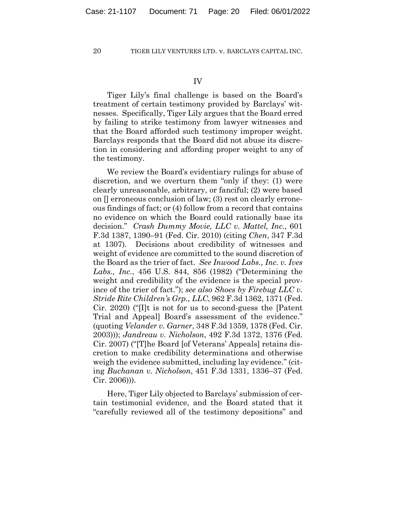Tiger Lily's final challenge is based on the Board's treatment of certain testimony provided by Barclays' witnesses. Specifically, Tiger Lily argues that the Board erred by failing to strike testimony from lawyer witnesses and that the Board afforded such testimony improper weight. Barclays responds that the Board did not abuse its discretion in considering and affording proper weight to any of the testimony.

We review the Board's evidentiary rulings for abuse of discretion, and we overturn them "only if they: (1) were clearly unreasonable, arbitrary, or fanciful; (2) were based on [] erroneous conclusion of law; (3) rest on clearly erroneous findings of fact; or (4) follow from a record that contains no evidence on which the Board could rationally base its decision." *Crash Dummy Movie, LLC v. Mattel, Inc.*, 601 F.3d 1387, 1390–91 (Fed. Cir. 2010) (citing *Chen*, 347 F.3d at 1307). Decisions about credibility of witnesses and weight of evidence are committed to the sound discretion of the Board as the trier of fact. *See Inwood Labs., Inc. v. Ives Labs., Inc.*, 456 U.S. 844, 856 (1982) ("Determining the weight and credibility of the evidence is the special province of the trier of fact."); *see also Shoes by Firebug LLC v. Stride Rite Children's Grp., LLC*, 962 F.3d 1362, 1371 (Fed. Cir. 2020) ("[I]t is not for us to second-guess the [Patent Trial and Appeal] Board's assessment of the evidence." (quoting *Velander v. Garner*, 348 F.3d 1359, 1378 (Fed. Cir. 2003))); *Jandreau v. Nicholson*, 492 F.3d 1372, 1376 (Fed. Cir. 2007) ("[T]he Board [of Veterans' Appeals] retains discretion to make credibility determinations and otherwise weigh the evidence submitted, including lay evidence." (citing *Buchanan v. Nicholson*, 451 F.3d 1331, 1336–37 (Fed. Cir. 2006))).

Here, Tiger Lily objected to Barclays' submission of certain testimonial evidence, and the Board stated that it "carefully reviewed all of the testimony depositions" and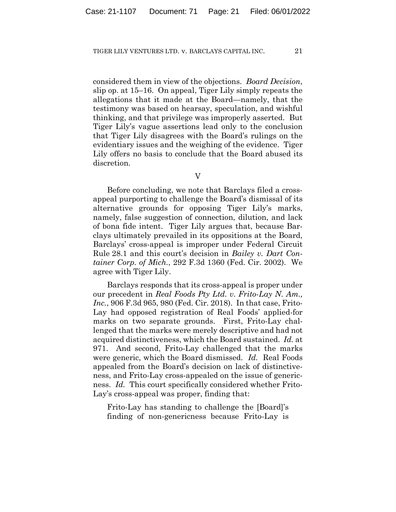considered them in view of the objections. *Board Decision*, slip op. at 15–16. On appeal, Tiger Lily simply repeats the allegations that it made at the Board—namely, that the testimony was based on hearsay, speculation, and wishful thinking, and that privilege was improperly asserted. But Tiger Lily's vague assertions lead only to the conclusion that Tiger Lily disagrees with the Board's rulings on the evidentiary issues and the weighing of the evidence. Tiger Lily offers no basis to conclude that the Board abused its discretion.

Before concluding, we note that Barclays filed a crossappeal purporting to challenge the Board's dismissal of its alternative grounds for opposing Tiger Lily's marks, namely, false suggestion of connection, dilution, and lack of bona fide intent. Tiger Lily argues that, because Barclays ultimately prevailed in its oppositions at the Board, Barclays' cross-appeal is improper under Federal Circuit Rule 28.1 and this court's decision in *Bailey v. Dart Container Corp. of Mich.*, 292 F.3d 1360 (Fed. Cir. 2002). We agree with Tiger Lily.

Barclays responds that its cross-appeal is proper under our precedent in *Real Foods Pty Ltd. v. Frito-Lay N. Am., Inc.*, 906 F.3d 965, 980 (Fed. Cir. 2018). In that case, Frito-Lay had opposed registration of Real Foods' applied-for marks on two separate grounds. First, Frito-Lay challenged that the marks were merely descriptive and had not acquired distinctiveness, which the Board sustained. *Id.* at 971. And second, Frito-Lay challenged that the marks were generic, which the Board dismissed. *Id.* Real Foods appealed from the Board's decision on lack of distinctiveness, and Frito-Lay cross-appealed on the issue of genericness. *Id.* This court specifically considered whether Frito-Lay's cross-appeal was proper, finding that:

Frito-Lay has standing to challenge the [Board]'s finding of non-genericness because Frito-Lay is

V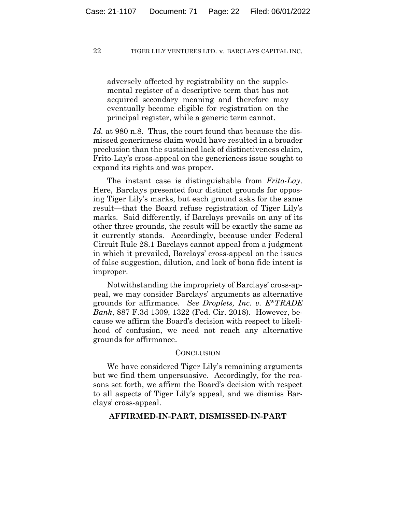adversely affected by registrability on the supplemental register of a descriptive term that has not acquired secondary meaning and therefore may eventually become eligible for registration on the principal register, while a generic term cannot.

*Id.* at 980 n.8. Thus, the court found that because the dismissed genericness claim would have resulted in a broader preclusion than the sustained lack of distinctiveness claim, Frito-Lay's cross-appeal on the genericness issue sought to expand its rights and was proper.

The instant case is distinguishable from *Frito-Lay*. Here, Barclays presented four distinct grounds for opposing Tiger Lily's marks, but each ground asks for the same result—that the Board refuse registration of Tiger Lily's marks. Said differently, if Barclays prevails on any of its other three grounds, the result will be exactly the same as it currently stands. Accordingly, because under Federal Circuit Rule 28.1 Barclays cannot appeal from a judgment in which it prevailed, Barclays' cross-appeal on the issues of false suggestion, dilution, and lack of bona fide intent is improper.

Notwithstanding the impropriety of Barclays' cross-appeal, we may consider Barclays' arguments as alternative grounds for affirmance. *See Droplets, Inc. v. E\*TRADE Bank*, 887 F.3d 1309, 1322 (Fed. Cir. 2018). However, because we affirm the Board's decision with respect to likelihood of confusion, we need not reach any alternative grounds for affirmance.

#### CONCLUSION

We have considered Tiger Lily's remaining arguments but we find them unpersuasive. Accordingly, for the reasons set forth, we affirm the Board's decision with respect to all aspects of Tiger Lily's appeal, and we dismiss Barclays' cross-appeal.

## **AFFIRMED-IN-PART, DISMISSED-IN-PART**